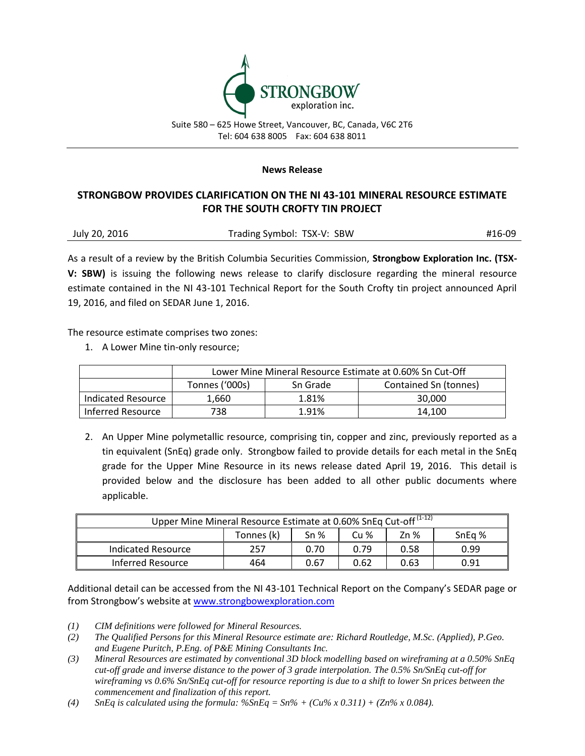

Suite 580 – 625 Howe Street, Vancouver, BC, Canada, V6C 2T6 Tel: 604 638 8005 Fax: 604 638 8011

## **News Release**

## **STRONGBOW PROVIDES CLARIFICATION ON THE NI 43-101 MINERAL RESOURCE ESTIMATE FOR THE SOUTH CROFTY TIN PROJECT**

As a result of a review by the British Columbia Securities Commission, **Strongbow Exploration Inc. (TSX-V: SBW)** is issuing the following news release to clarify disclosure regarding the mineral resource estimate contained in the NI 43-101 Technical Report for the South Crofty tin project announced April 19, 2016, and filed on SEDAR June 1, 2016.

The resource estimate comprises two zones:

1. A Lower Mine tin-only resource;

|                    | Lower Mine Mineral Resource Estimate at 0.60% Sn Cut-Off |          |                       |  |  |  |
|--------------------|----------------------------------------------------------|----------|-----------------------|--|--|--|
|                    | Tonnes ('000s)                                           | Sn Grade | Contained Sn (tonnes) |  |  |  |
| Indicated Resource | 1.660                                                    | 1.81%    | 30,000                |  |  |  |
| Inferred Resource  | 738                                                      | 1.91%    | 14.100                |  |  |  |

2. An Upper Mine polymetallic resource, comprising tin, copper and zinc, previously reported as a tin equivalent (SnEq) grade only. Strongbow failed to provide details for each metal in the SnEq grade for the Upper Mine Resource in its news release dated April 19, 2016. This detail is provided below and the disclosure has been added to all other public documents where applicable.

| Upper Mine Mineral Resource Estimate at 0.60% SnEq Cut-off <sup>(1-12)</sup> |            |                 |      |      |       |  |
|------------------------------------------------------------------------------|------------|-----------------|------|------|-------|--|
|                                                                              | Tonnes (k) | Sn <sub>%</sub> | Cu%  | Zn % | SnEq% |  |
| Indicated Resource                                                           | 257        | 0.70            | 0.79 | 0.58 | 0.99  |  |
| Inferred Resource                                                            | 464        | 0.67            | 0.62 | 0.63 | 0.91  |  |

Additional detail can be accessed from the NI 43-101 Technical Report on the Company's SEDAR page or from Strongbow's website at [www.strongbowexploration.com](http://www.strongbowexploration.com/)

- *(1) CIM definitions were followed for Mineral Resources.*
- *(2) The Qualified Persons for this Mineral Resource estimate are: Richard Routledge, M.Sc. (Applied), P.Geo. and Eugene Puritch, P.Eng. of P&E Mining Consultants Inc.*
- *(3) Mineral Resources are estimated by conventional 3D block modelling based on wireframing at a 0.50% SnEq cut-off grade and inverse distance to the power of 3 grade interpolation. The 0.5% Sn/SnEq cut-off for wireframing vs 0.6% Sn/SnEq cut-off for resource reporting is due to a shift to lower Sn prices between the commencement and finalization of this report.*
- (4) *SnEq is calculated using the formula:*  $\%$ *SnEq = Sn% + (Cu% x 0.311) + (Zn% x 0.084).*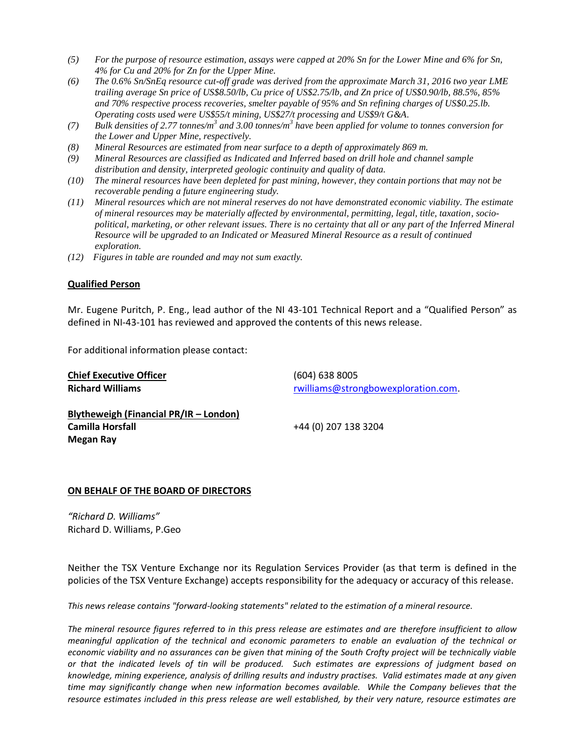- *(5) For the purpose of resource estimation, assays were capped at 20% Sn for the Lower Mine and 6% for Sn, 4% for Cu and 20% for Zn for the Upper Mine.*
- *(6) The 0.6% Sn/SnEq resource cut-off grade was derived from the approximate March 31, 2016 two year LME trailing average Sn price of US\$8.50/lb, Cu price of US\$2.75/lb, and Zn price of US\$0.90/lb, 88.5%, 85% and 70% respective process recoveries, smelter payable of 95% and Sn refining charges of US\$0.25.lb. Operating costs used were US\$55/t mining, US\$27/t processing and US\$9/t G&A.*
- *(7) Bulk densities of 2.77 tonnes/m<sup>3</sup> and 3.00 tonnes/m<sup>3</sup> have been applied for volume to tonnes conversion for the Lower and Upper Mine, respectively.*
- *(8) Mineral Resources are estimated from near surface to a depth of approximately 869 m.*
- *(9) Mineral Resources are classified as Indicated and Inferred based on drill hole and channel sample distribution and density, interpreted geologic continuity and quality of data.*
- *(10) The mineral resources have been depleted for past mining, however, they contain portions that may not be recoverable pending a future engineering study.*
- *(11) Mineral resources which are not mineral reserves do not have demonstrated economic viability. The estimate of mineral resources may be materially affected by environmental, permitting, legal, title, taxation, sociopolitical, marketing, or other relevant issues. There is no certainty that all or any part of the Inferred Mineral Resource will be upgraded to an Indicated or Measured Mineral Resource as a result of continued exploration.*
- *(12) Figures in table are rounded and may not sum exactly.*

## **Qualified Person**

Mr. Eugene Puritch, P. Eng., lead author of the NI 43-101 Technical Report and a "Qualified Person" as defined in NI-43-101 has reviewed and approved the contents of this news release.

For additional information please contact:

| <b>Chief Executive Officer</b>         | (604) 638 8005                      |  |  |  |
|----------------------------------------|-------------------------------------|--|--|--|
| <b>Richard Williams</b>                | rwilliams@strongbowexploration.com. |  |  |  |
| Blytheweigh (Financial PR/IR - London) |                                     |  |  |  |
| Camilla Horsfall                       | +44 (0) 207 138 3204                |  |  |  |
| Megan Ray                              |                                     |  |  |  |

## **ON BEHALF OF THE BOARD OF DIRECTORS**

*"Richard D. Williams"* Richard D. Williams, P.Geo

Neither the TSX Venture Exchange nor its Regulation Services Provider (as that term is defined in the policies of the TSX Venture Exchange) accepts responsibility for the adequacy or accuracy of this release.

*This news release contains "forward-looking statements" related to the estimation of a mineral resource.* 

*The mineral resource figures referred to in this press release are estimates and are therefore insufficient to allow meaningful application of the technical and economic parameters to enable an evaluation of the technical or economic viability and no assurances can be given that mining of the South Crofty project will be technically viable or that the indicated levels of tin will be produced. Such estimates are expressions of judgment based on knowledge, mining experience, analysis of drilling results and industry practises. Valid estimates made at any given time may significantly change when new information becomes available. While the Company believes that the resource estimates included in this press release are well established, by their very nature, resource estimates are*